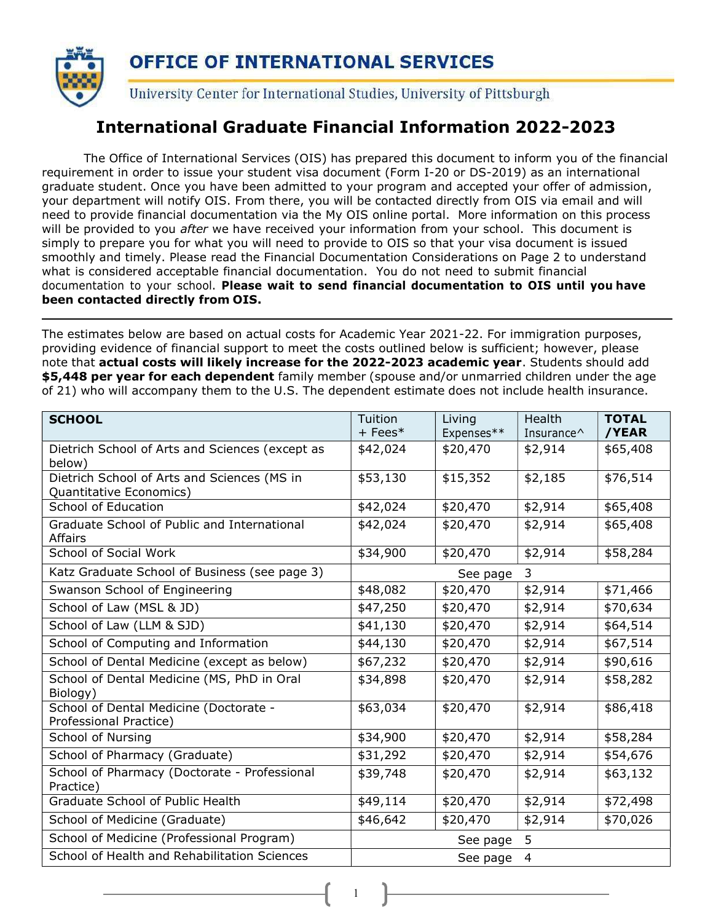

### International Graduate Financial Information 2022-2023

The Office of International Services (OIS) has prepared this document to inform you of the financial requirement in order to issue your student visa document (Form I-20 or DS-2019) as an international graduate student. Once you have been admitted to your program and accepted your offer of admission, your department will notify OIS. From there, you will be contacted directly from OIS via email and will need to provide financial documentation via the My OIS online portal. More information on this process will be provided to you after we have received your information from your school. This document is simply to prepare you for what you will need to provide to OIS so that your visa document is issued smoothly and timely. Please read the Financial Documentation Considerations on Page 2 to understand what is considered acceptable financial documentation. You do not need to submit financial documentation to your school. Please wait to send financial documentation to OIS until you have been contacted directly from OIS.

The estimates below are based on actual costs for Academic Year 2021-22. For immigration purposes, providing evidence of financial support to meet the costs outlined below is sufficient; however, please note that actual costs will likely increase for the 2022-2023 academic year. Students should add \$5,448 per year for each dependent family member (spouse and/or unmarried children under the age of 21) who will accompany them to the U.S. The dependent estimate does not include health insurance.

| <b>SCHOOL</b>                                                          | Tuition<br>$+$ Fees $*$ | Living<br>Expenses** | Health<br>Insurance <sup><math>\wedge</math></sup> | <b>TOTAL</b><br>/YEAR |  |
|------------------------------------------------------------------------|-------------------------|----------------------|----------------------------------------------------|-----------------------|--|
| Dietrich School of Arts and Sciences (except as<br>below)              | \$42,024                | \$20,470             | \$2,914                                            | \$65,408              |  |
| Dietrich School of Arts and Sciences (MS in<br>Quantitative Economics) | \$53,130                | \$15,352             | \$2,185                                            | \$76,514              |  |
| School of Education                                                    | \$42,024                | \$20,470             | \$2,914                                            | \$65,408              |  |
| Graduate School of Public and International<br>Affairs                 | \$42,024                | \$20,470             | \$2,914                                            | \$65,408              |  |
| <b>School of Social Work</b>                                           | \$34,900                | \$20,470             | \$2,914                                            | \$58,284              |  |
| Katz Graduate School of Business (see page 3)                          |                         | See page             | 3                                                  |                       |  |
| Swanson School of Engineering                                          | \$48,082                | \$20,470             | \$2,914                                            | \$71,466              |  |
| School of Law (MSL & JD)                                               | \$47,250                | \$20,470             | \$2,914                                            | \$70,634              |  |
| School of Law (LLM & SJD)                                              | \$41,130                | \$20,470             | \$2,914                                            | \$64,514              |  |
| School of Computing and Information                                    | \$44,130                | \$20,470             | \$2,914                                            | \$67,514              |  |
| School of Dental Medicine (except as below)                            | \$67,232                | \$20,470             | \$2,914                                            | \$90,616              |  |
| School of Dental Medicine (MS, PhD in Oral<br>Biology)                 | \$34,898                | \$20,470             | \$2,914                                            | \$58,282              |  |
| School of Dental Medicine (Doctorate -<br>Professional Practice)       | \$63,034                | \$20,470             | \$2,914                                            | \$86,418              |  |
| School of Nursing                                                      | \$34,900                | \$20,470             | \$2,914                                            | \$58,284              |  |
| School of Pharmacy (Graduate)                                          | \$31,292                | \$20,470             | \$2,914                                            | \$54,676              |  |
| School of Pharmacy (Doctorate - Professional<br>Practice)              | \$39,748                | \$20,470             | \$2,914                                            | \$63,132              |  |
| Graduate School of Public Health                                       | \$49,114                | \$20,470             | \$2,914                                            | \$72,498              |  |
| School of Medicine (Graduate)                                          | \$46,642                | \$20,470             | \$2,914                                            | \$70,026              |  |
| School of Medicine (Professional Program)                              |                         | See page             | 5                                                  |                       |  |
| School of Health and Rehabilitation Sciences                           | See page 4              |                      |                                                    |                       |  |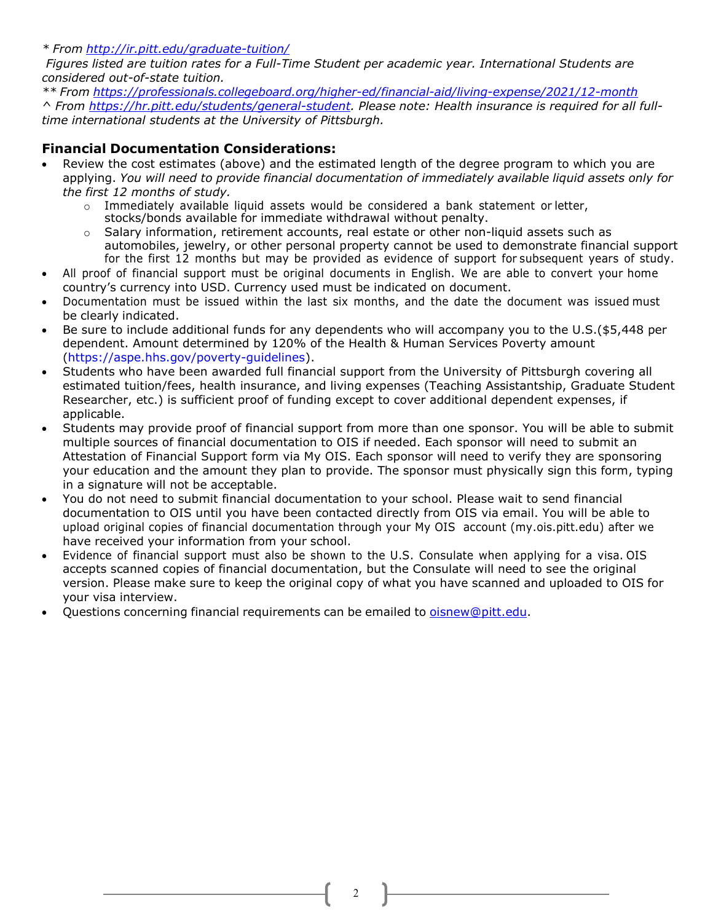\* From http://ir.pitt.edu/graduate-tuition/

Figures listed are tuition rates for a Full-Time Student per academic year. International Students are considered out-of-state tuition.

\*\* From https://professionals.collegeboard.org/higher-ed/financial-aid/living-expense/2021/12-month ^ From https://hr.pitt.edu/students/general-student. Please note: Health insurance is required for all fulltime international students at the University of Pittsburgh.

#### Financial Documentation Considerations:

- Review the cost estimates (above) and the estimated length of the degree program to which you are applying. You will need to provide financial documentation of immediately available liquid assets only for the first 12 months of study.
	- o Immediately available liquid assets would be considered a bank statement or letter, stocks/bonds available for immediate withdrawal without penalty.
	- Salary information, retirement accounts, real estate or other non-liquid assets such as automobiles, jewelry, or other personal property cannot be used to demonstrate financial support for the first 12 months but may be provided as evidence of support for subsequent years of study.
- All proof of financial support must be original documents in English. We are able to convert your home country's currency into USD. Currency used must be indicated on document.
- Documentation must be issued within the last six months, and the date the document was issued must be clearly indicated.
- Be sure to include additional funds for any dependents who will accompany you to the U.S.(\$5,448 per dependent. Amount determined by 120% of the Health & Human Services Poverty amount (https://aspe.hhs.gov/poverty-guidelines).
- Students who have been awarded full financial support from the University of Pittsburgh covering all estimated tuition/fees, health insurance, and living expenses (Teaching Assistantship, Graduate Student Researcher, etc.) is sufficient proof of funding except to cover additional dependent expenses, if applicable.
- Students may provide proof of financial support from more than one sponsor. You will be able to submit multiple sources of financial documentation to OIS if needed. Each sponsor will need to submit an Attestation of Financial Support form via My OIS. Each sponsor will need to verify they are sponsoring your education and the amount they plan to provide. The sponsor must physically sign this form, typing in a signature will not be acceptable.
- You do not need to submit financial documentation to your school. Please wait to send financial documentation to OIS until you have been contacted directly from OIS via email. You will be able to upload original copies of financial documentation through your My OIS account (my.ois.pitt.edu) after we have received your information from your school.
- Evidence of financial support must also be shown to the U.S. Consulate when applying for a visa. OIS accepts scanned copies of financial documentation, but the Consulate will need to see the original version. Please make sure to keep the original copy of what you have scanned and uploaded to OIS for your visa interview.
- Questions concerning financial requirements can be emailed to oisnew@pitt.edu.

2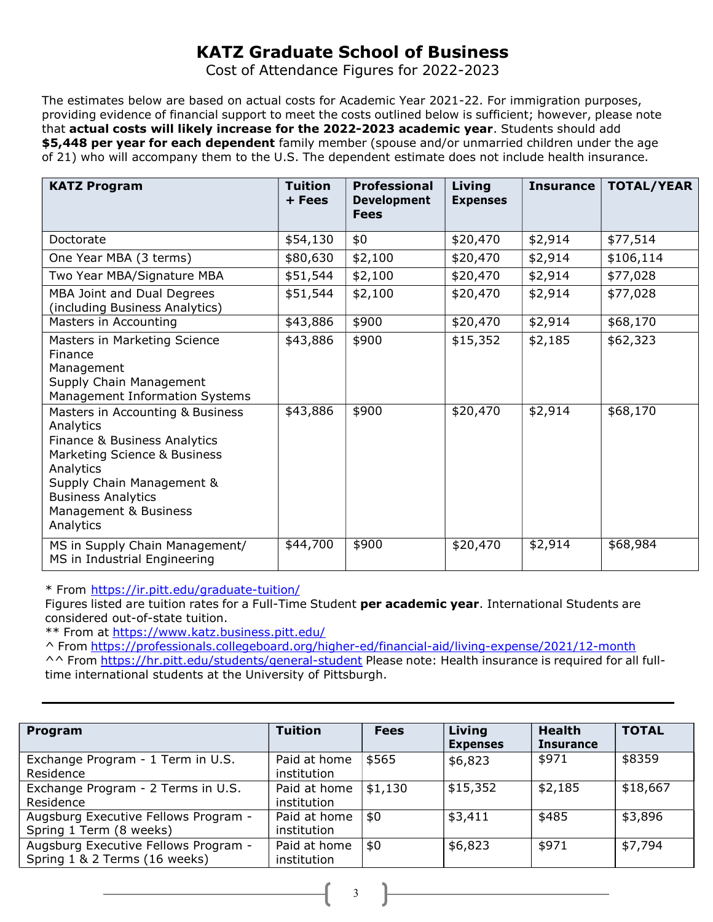# KATZ Graduate School of Business

Cost of Attendance Figures for 2022-2023

The estimates below are based on actual costs for Academic Year 2021-22. For immigration purposes, providing evidence of financial support to meet the costs outlined below is sufficient; however, please note that actual costs will likely increase for the 2022-2023 academic year. Students should add \$5,448 per year for each dependent family member (spouse and/or unmarried children under the age of 21) who will accompany them to the U.S. The dependent estimate does not include health insurance.

| <b>KATZ Program</b>                                                                                                                                                                                                        | <b>Tuition</b><br>+ Fees | <b>Professional</b><br><b>Development</b><br><b>Fees</b> | Living<br><b>Expenses</b> | <b>Insurance</b> | <b>TOTAL/YEAR</b> |
|----------------------------------------------------------------------------------------------------------------------------------------------------------------------------------------------------------------------------|--------------------------|----------------------------------------------------------|---------------------------|------------------|-------------------|
| Doctorate                                                                                                                                                                                                                  | \$54,130                 | \$0                                                      | \$20,470                  | \$2,914          | \$77,514          |
| One Year MBA (3 terms)                                                                                                                                                                                                     | \$80,630                 | \$2,100                                                  | \$20,470                  | \$2,914          | \$106,114         |
| Two Year MBA/Signature MBA                                                                                                                                                                                                 | \$51,544                 | \$2,100                                                  | \$20,470                  | \$2,914          | \$77,028          |
| MBA Joint and Dual Degrees<br>(including Business Analytics)                                                                                                                                                               | \$51,544                 | \$2,100                                                  | \$20,470                  | \$2,914          | \$77,028          |
| Masters in Accounting                                                                                                                                                                                                      | \$43,886                 | \$900                                                    | \$20,470                  | \$2,914          | \$68,170          |
| Masters in Marketing Science<br>Finance<br>Management<br>Supply Chain Management<br>Management Information Systems                                                                                                         | \$43,886                 | \$900                                                    | \$15,352                  | \$2,185          | \$62,323          |
| Masters in Accounting & Business<br>Analytics<br>Finance & Business Analytics<br>Marketing Science & Business<br>Analytics<br>Supply Chain Management &<br><b>Business Analytics</b><br>Management & Business<br>Analytics | \$43,886                 | \$900                                                    | \$20,470                  | \$2,914          | \$68,170          |
| MS in Supply Chain Management/<br>MS in Industrial Engineering                                                                                                                                                             | \$44,700                 | \$900                                                    | \$20,470                  | \$2,914          | \$68,984          |

\* From https://ir.pitt.edu/graduate-tuition/

Figures listed are tuition rates for a Full-Time Student per academic year. International Students are considered out-of-state tuition.

\*\* From at https://www.katz.business.pitt.edu/

^ From https://professionals.collegeboard.org/higher-ed/financial-aid/living-expense/2021/12-month

^^ From https://hr.pitt.edu/students/general-student Please note: Health insurance is required for all fulltime international students at the University of Pittsburgh.

| Program                                                               | <b>Tuition</b>              | <b>Fees</b> | Living<br><b>Expenses</b> | <b>Health</b><br><b>Insurance</b> | <b>TOTAL</b> |
|-----------------------------------------------------------------------|-----------------------------|-------------|---------------------------|-----------------------------------|--------------|
| Exchange Program - 1 Term in U.S.<br>Residence                        | Paid at home<br>institution | \$565       | \$6,823                   | \$971                             | \$8359       |
| Exchange Program - 2 Terms in U.S.<br>Residence                       | Paid at home<br>institution | \$1,130     | \$15,352                  | \$2,185                           | \$18,667     |
| Augsburg Executive Fellows Program -<br>Spring 1 Term (8 weeks)       | Paid at home<br>institution | \$0         | \$3,411                   | \$485                             | \$3,896      |
| Augsburg Executive Fellows Program -<br>Spring 1 & 2 Terms (16 weeks) | Paid at home<br>institution | \$0         | \$6,823                   | \$971                             | \$7,794      |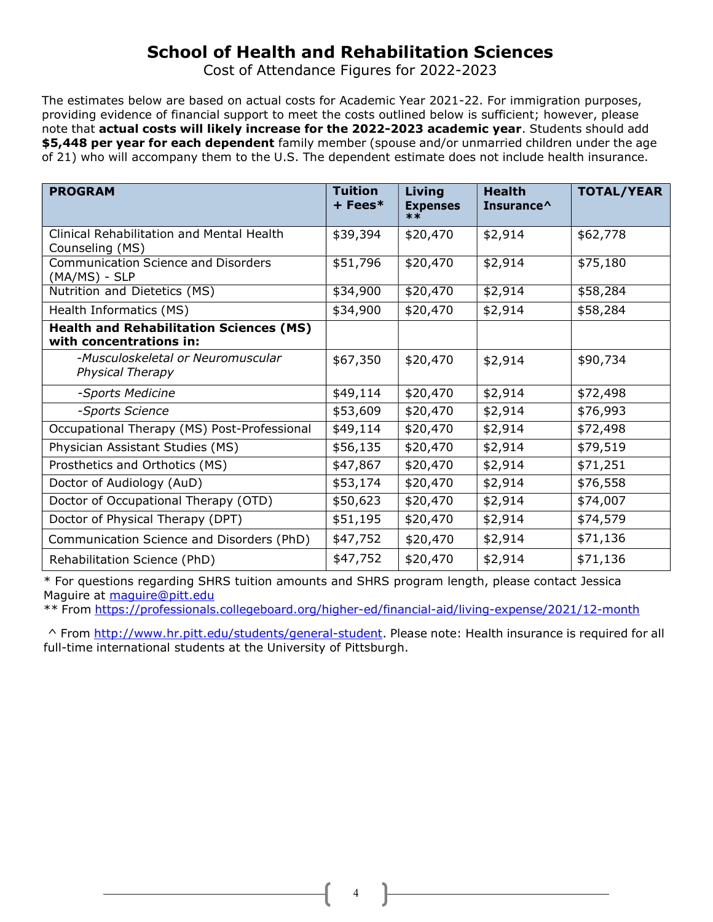## School of Health and Rehabilitation Sciences

Cost of Attendance Figures for 2022-2023

The estimates below are based on actual costs for Academic Year 2021-22. For immigration purposes, providing evidence of financial support to meet the costs outlined below is sufficient; however, please note that actual costs will likely increase for the 2022-2023 academic year. Students should add \$5,448 per year for each dependent family member (spouse and/or unmarried children under the age of 21) who will accompany them to the U.S. The dependent estimate does not include health insurance.

| <b>Tuition</b><br>Living<br><b>TOTAL/YEAR</b><br><b>PROGRAM</b><br><b>Health</b><br>+ Fees*<br><b>Expenses</b><br>Insurance <sup><math>\wedge</math></sup><br>$***$ |
|---------------------------------------------------------------------------------------------------------------------------------------------------------------------|
| Clinical Rehabilitation and Mental Health<br>\$39,394<br>\$20,470<br>\$2,914<br>\$62,778<br>Counseling (MS)                                                         |
| \$20,470<br><b>Communication Science and Disorders</b><br>\$51,796<br>\$2,914<br>\$75,180<br>$(MA/MS) - SLP$                                                        |
| \$20,470<br>Nutrition and Dietetics (MS)<br>\$34,900<br>\$2,914<br>\$58,284                                                                                         |
| Health Informatics (MS)<br>\$34,900<br>\$20,470<br>\$2,914<br>\$58,284                                                                                              |
| <b>Health and Rehabilitation Sciences (MS)</b><br>with concentrations in:                                                                                           |
| -Musculoskeletal or Neuromuscular<br>\$67,350<br>\$20,470<br>\$90,734<br>\$2,914<br><b>Physical Therapy</b>                                                         |
| \$20,470<br>\$2,914<br>\$49,114<br>\$72,498<br>-Sports Medicine                                                                                                     |
| \$53,609<br>\$20,470<br>-Sports Science<br>\$2,914<br>\$76,993                                                                                                      |
| Occupational Therapy (MS) Post-Professional<br>\$49,114<br>\$20,470<br>\$2,914<br>\$72,498                                                                          |
| \$20,470<br>Physician Assistant Studies (MS)<br>\$56,135<br>\$2,914<br>\$79,519                                                                                     |
| Prosthetics and Orthotics (MS)<br>\$47,867<br>\$20,470<br>\$2,914<br>\$71,251                                                                                       |
| Doctor of Audiology (AuD)<br>\$53,174<br>\$20,470<br>\$2,914<br>\$76,558                                                                                            |
| Doctor of Occupational Therapy (OTD)<br>\$20,470<br>\$50,623<br>\$2,914<br>\$74,007                                                                                 |
| Doctor of Physical Therapy (DPT)<br>\$51,195<br>\$20,470<br>\$2,914<br>\$74,579                                                                                     |
| \$71,136<br>\$47,752<br>\$2,914<br>Communication Science and Disorders (PhD)<br>\$20,470                                                                            |
| \$47,752<br>\$20,470<br>\$2,914<br>\$71,136<br>Rehabilitation Science (PhD)                                                                                         |

\* For questions regarding SHRS tuition amounts and SHRS program length, please contact Jessica Maguire at maguire@pitt.edu

\*\* From https://professionals.collegeboard.org/higher-ed/financial-aid/living-expense/2021/12-month

^ From http://www.hr.pitt.edu/students/general-student. Please note: Health insurance is required for all full-time international students at the University of Pittsburgh.